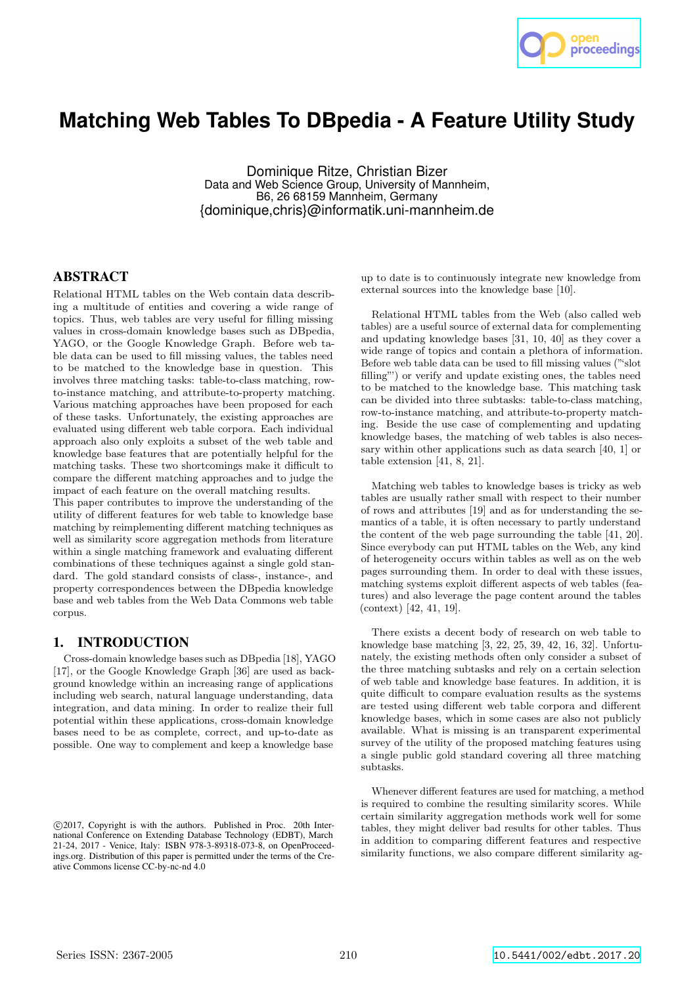

# **Matching Web Tables To DBpedia - A Feature Utility Study**

Dominique Ritze, Christian Bizer Data and Web Science Group, University of Mannheim, B6, 26 68159 Mannheim, Germany {dominique,chris}@informatik.uni-mannheim.de

## ABSTRACT

Relational HTML tables on the Web contain data describing a multitude of entities and covering a wide range of topics. Thus, web tables are very useful for filling missing values in cross-domain knowledge bases such as DBpedia, YAGO, or the Google Knowledge Graph. Before web table data can be used to fill missing values, the tables need to be matched to the knowledge base in question. This involves three matching tasks: table-to-class matching, rowto-instance matching, and attribute-to-property matching. Various matching approaches have been proposed for each of these tasks. Unfortunately, the existing approaches are evaluated using different web table corpora. Each individual approach also only exploits a subset of the web table and knowledge base features that are potentially helpful for the matching tasks. These two shortcomings make it difficult to compare the different matching approaches and to judge the impact of each feature on the overall matching results.

This paper contributes to improve the understanding of the utility of different features for web table to knowledge base matching by reimplementing different matching techniques as well as similarity score aggregation methods from literature within a single matching framework and evaluating different combinations of these techniques against a single gold standard. The gold standard consists of class-, instance-, and property correspondences between the DBpedia knowledge base and web tables from the Web Data Commons web table corpus.

#### 1. INTRODUCTION

Cross-domain knowledge bases such as DBpedia [18], YAGO [17], or the Google Knowledge Graph [36] are used as background knowledge within an increasing range of applications including web search, natural language understanding, data integration, and data mining. In order to realize their full potential within these applications, cross-domain knowledge bases need to be as complete, correct, and up-to-date as possible. One way to complement and keep a knowledge base

up to date is to continuously integrate new knowledge from external sources into the knowledge base [10].

Relational HTML tables from the Web (also called web tables) are a useful source of external data for complementing and updating knowledge bases [31, 10, 40] as they cover a wide range of topics and contain a plethora of information. Before web table data can be used to fill missing values ("'slot filling"') or verify and update existing ones, the tables need to be matched to the knowledge base. This matching task can be divided into three subtasks: table-to-class matching, row-to-instance matching, and attribute-to-property matching. Beside the use case of complementing and updating knowledge bases, the matching of web tables is also necessary within other applications such as data search [40, 1] or table extension [41, 8, 21].

Matching web tables to knowledge bases is tricky as web tables are usually rather small with respect to their number of rows and attributes [19] and as for understanding the semantics of a table, it is often necessary to partly understand the content of the web page surrounding the table [41, 20]. Since everybody can put HTML tables on the Web, any kind of heterogeneity occurs within tables as well as on the web pages surrounding them. In order to deal with these issues, matching systems exploit different aspects of web tables (features) and also leverage the page content around the tables (context) [42, 41, 19].

There exists a decent body of research on web table to knowledge base matching [3, 22, 25, 39, 42, 16, 32]. Unfortunately, the existing methods often only consider a subset of the three matching subtasks and rely on a certain selection of web table and knowledge base features. In addition, it is quite difficult to compare evaluation results as the systems are tested using different web table corpora and different knowledge bases, which in some cases are also not publicly available. What is missing is an transparent experimental survey of the utility of the proposed matching features using a single public gold standard covering all three matching subtasks.

Whenever different features are used for matching, a method is required to combine the resulting similarity scores. While certain similarity aggregation methods work well for some tables, they might deliver bad results for other tables. Thus in addition to comparing different features and respective similarity functions, we also compare different similarity ag-

c 2017, Copyright is with the authors. Published in Proc. 20th International Conference on Extending Database Technology (EDBT), March 21-24, 2017 - Venice, Italy: ISBN 978-3-89318-073-8, on OpenProceedings.org. Distribution of this paper is permitted under the terms of the Creative Commons license CC-by-nc-nd 4.0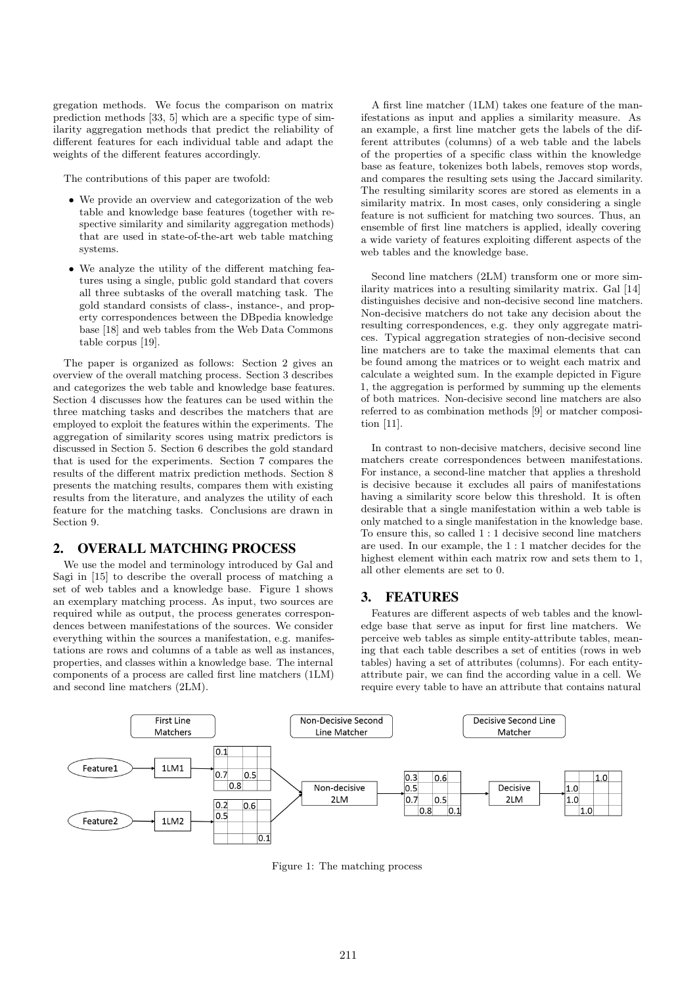gregation methods. We focus the comparison on matrix prediction methods [33, 5] which are a specific type of similarity aggregation methods that predict the reliability of different features for each individual table and adapt the weights of the different features accordingly.

The contributions of this paper are twofold:

- We provide an overview and categorization of the web table and knowledge base features (together with respective similarity and similarity aggregation methods) that are used in state-of-the-art web table matching systems.
- We analyze the utility of the different matching features using a single, public gold standard that covers all three subtasks of the overall matching task. The gold standard consists of class-, instance-, and property correspondences between the DBpedia knowledge base [18] and web tables from the Web Data Commons table corpus [19].

The paper is organized as follows: Section 2 gives an overview of the overall matching process. Section 3 describes and categorizes the web table and knowledge base features. Section 4 discusses how the features can be used within the three matching tasks and describes the matchers that are employed to exploit the features within the experiments. The aggregation of similarity scores using matrix predictors is discussed in Section 5. Section 6 describes the gold standard that is used for the experiments. Section 7 compares the results of the different matrix prediction methods. Section 8 presents the matching results, compares them with existing results from the literature, and analyzes the utility of each feature for the matching tasks. Conclusions are drawn in Section 9.

## 2. OVERALL MATCHING PROCESS

We use the model and terminology introduced by Gal and Sagi in [15] to describe the overall process of matching a set of web tables and a knowledge base. Figure 1 shows an exemplary matching process. As input, two sources are required while as output, the process generates correspondences between manifestations of the sources. We consider everything within the sources a manifestation, e.g. manifestations are rows and columns of a table as well as instances, properties, and classes within a knowledge base. The internal components of a process are called first line matchers (1LM) and second line matchers (2LM).

A first line matcher (1LM) takes one feature of the manifestations as input and applies a similarity measure. As an example, a first line matcher gets the labels of the different attributes (columns) of a web table and the labels of the properties of a specific class within the knowledge base as feature, tokenizes both labels, removes stop words, and compares the resulting sets using the Jaccard similarity. The resulting similarity scores are stored as elements in a similarity matrix. In most cases, only considering a single feature is not sufficient for matching two sources. Thus, an ensemble of first line matchers is applied, ideally covering a wide variety of features exploiting different aspects of the web tables and the knowledge base.

Second line matchers (2LM) transform one or more similarity matrices into a resulting similarity matrix. Gal [14] distinguishes decisive and non-decisive second line matchers. Non-decisive matchers do not take any decision about the resulting correspondences, e.g. they only aggregate matrices. Typical aggregation strategies of non-decisive second line matchers are to take the maximal elements that can be found among the matrices or to weight each matrix and calculate a weighted sum. In the example depicted in Figure 1, the aggregation is performed by summing up the elements of both matrices. Non-decisive second line matchers are also referred to as combination methods [9] or matcher composition [11].

In contrast to non-decisive matchers, decisive second line matchers create correspondences between manifestations. For instance, a second-line matcher that applies a threshold is decisive because it excludes all pairs of manifestations having a similarity score below this threshold. It is often desirable that a single manifestation within a web table is only matched to a single manifestation in the knowledge base. To ensure this, so called 1 : 1 decisive second line matchers are used. In our example, the 1 : 1 matcher decides for the highest element within each matrix row and sets them to 1, all other elements are set to 0.

#### 3. FEATURES

Features are different aspects of web tables and the knowledge base that serve as input for first line matchers. We perceive web tables as simple entity-attribute tables, meaning that each table describes a set of entities (rows in web tables) having a set of attributes (columns). For each entityattribute pair, we can find the according value in a cell. We require every table to have an attribute that contains natural



Figure 1: The matching process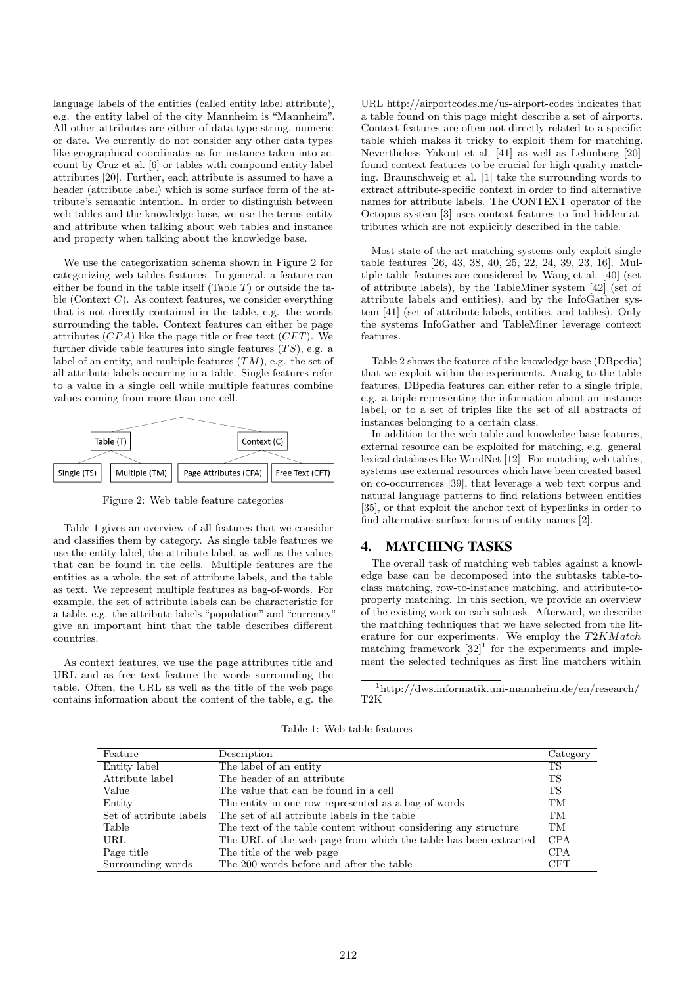language labels of the entities (called entity label attribute), e.g. the entity label of the city Mannheim is "Mannheim". All other attributes are either of data type string, numeric or date. We currently do not consider any other data types like geographical coordinates as for instance taken into account by Cruz et al. [6] or tables with compound entity label attributes [20]. Further, each attribute is assumed to have a header (attribute label) which is some surface form of the attribute's semantic intention. In order to distinguish between web tables and the knowledge base, we use the terms entity and attribute when talking about web tables and instance and property when talking about the knowledge base.

We use the categorization schema shown in Figure 2 for categorizing web tables features. In general, a feature can either be found in the table itself (Table  $T$ ) or outside the table (Context  $C$ ). As context features, we consider everything that is not directly contained in the table, e.g. the words surrounding the table. Context features can either be page attributes  $(CPA)$  like the page title or free text  $(CFT)$ . We further divide table features into single features  $(TS)$ , e.g. a label of an entity, and multiple features  $(TM)$ , e.g. the set of all attribute labels occurring in a table. Single features refer to a value in a single cell while multiple features combine values coming from more than one cell.



Figure 2: Web table feature categories

Table 1 gives an overview of all features that we consider and classifies them by category. As single table features we use the entity label, the attribute label, as well as the values that can be found in the cells. Multiple features are the entities as a whole, the set of attribute labels, and the table as text. We represent multiple features as bag-of-words. For example, the set of attribute labels can be characteristic for a table, e.g. the attribute labels "population" and "currency" give an important hint that the table describes different countries.

As context features, we use the page attributes title and URL and as free text feature the words surrounding the table. Often, the URL as well as the title of the web page contains information about the content of the table, e.g. the URL http://airportcodes.me/us-airport-codes indicates that a table found on this page might describe a set of airports. Context features are often not directly related to a specific table which makes it tricky to exploit them for matching. Nevertheless Yakout et al. [41] as well as Lehmberg [20] found context features to be crucial for high quality matching. Braunschweig et al. [1] take the surrounding words to extract attribute-specific context in order to find alternative names for attribute labels. The CONTEXT operator of the Octopus system [3] uses context features to find hidden attributes which are not explicitly described in the table.

Most state-of-the-art matching systems only exploit single table features [26, 43, 38, 40, 25, 22, 24, 39, 23, 16]. Multiple table features are considered by Wang et al. [40] (set of attribute labels), by the TableMiner system [42] (set of attribute labels and entities), and by the InfoGather system [41] (set of attribute labels, entities, and tables). Only the systems InfoGather and TableMiner leverage context features.

Table 2 shows the features of the knowledge base (DBpedia) that we exploit within the experiments. Analog to the table features, DBpedia features can either refer to a single triple, e.g. a triple representing the information about an instance label, or to a set of triples like the set of all abstracts of instances belonging to a certain class.

In addition to the web table and knowledge base features, external resource can be exploited for matching, e.g. general lexical databases like WordNet [12]. For matching web tables, systems use external resources which have been created based on co-occurrences [39], that leverage a web text corpus and natural language patterns to find relations between entities [35], or that exploit the anchor text of hyperlinks in order to find alternative surface forms of entity names [2].

#### 4. MATCHING TASKS

The overall task of matching web tables against a knowledge base can be decomposed into the subtasks table-toclass matching, row-to-instance matching, and attribute-toproperty matching. In this section, we provide an overview of the existing work on each subtask. Afterward, we describe the matching techniques that we have selected from the literature for our experiments. We employ the T2KMatch matching framework  $[32]$ <sup>1</sup> for the experiments and implement the selected techniques as first line matchers within

<sup>1</sup>http://dws.informatik.uni-mannheim.de/en/research/ T2K

Table 1: Web table features

| Feature                 | Description                                                     | Category   |
|-------------------------|-----------------------------------------------------------------|------------|
| Entity label            | The label of an entity                                          | TS         |
| Attribute label         | The header of an attribute                                      | TS         |
| Value                   | The value that can be found in a cell                           | TS         |
| Entity                  | The entity in one row represented as a bag-of-words             | TM         |
| Set of attribute labels | The set of all attribute labels in the table                    | TM         |
| Table                   | The text of the table content without considering any structure | <b>TM</b>  |
| URL                     | The URL of the web page from which the table has been extracted | <b>CPA</b> |
| Page title              | The title of the web page                                       | <b>CPA</b> |
| Surrounding words       | The 200 words before and after the table                        | <b>CFT</b> |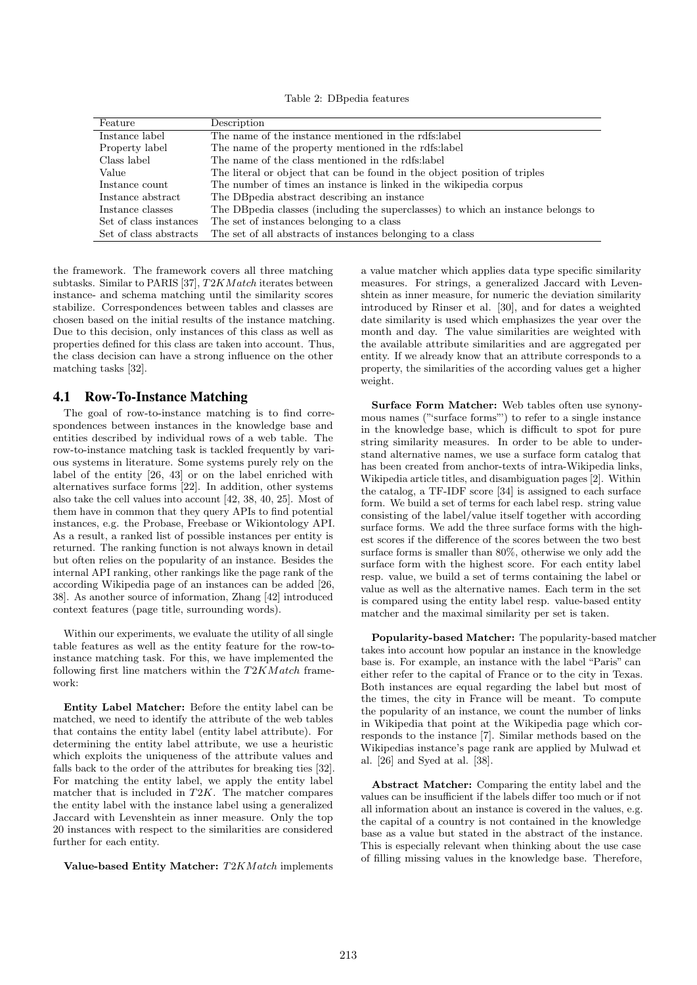Table 2: DBpedia features

| Feature                | Description                                                                       |
|------------------------|-----------------------------------------------------------------------------------|
| Instance label         | The name of the instance mentioned in the rdfs: label                             |
| Property label         | The name of the property mentioned in the rdfs: label                             |
| Class label            | The name of the class mentioned in the rdfs: label                                |
| Value                  | The literal or object that can be found in the object position of triples         |
| Instance count.        | The number of times an instance is linked in the wikipedia corpus                 |
| Instance abstract      | The DB pedia abstract describing an instance                                      |
| Instance classes       | The DB pedia classes (including the superclasses) to which an instance belongs to |
| Set of class instances | The set of instances belonging to a class                                         |
| Set of class abstracts | The set of all abstracts of instances belonging to a class                        |

the framework. The framework covers all three matching subtasks. Similar to PARIS [37],  $T2KMatch$  iterates between instance- and schema matching until the similarity scores stabilize. Correspondences between tables and classes are chosen based on the initial results of the instance matching. Due to this decision, only instances of this class as well as properties defined for this class are taken into account. Thus, the class decision can have a strong influence on the other matching tasks [32].

#### 4.1 Row-To-Instance Matching

The goal of row-to-instance matching is to find correspondences between instances in the knowledge base and entities described by individual rows of a web table. The row-to-instance matching task is tackled frequently by various systems in literature. Some systems purely rely on the label of the entity [26, 43] or on the label enriched with alternatives surface forms [22]. In addition, other systems also take the cell values into account [42, 38, 40, 25]. Most of them have in common that they query APIs to find potential instances, e.g. the Probase, Freebase or Wikiontology API. As a result, a ranked list of possible instances per entity is returned. The ranking function is not always known in detail but often relies on the popularity of an instance. Besides the internal API ranking, other rankings like the page rank of the according Wikipedia page of an instances can be added [26, 38]. As another source of information, Zhang [42] introduced context features (page title, surrounding words).

Within our experiments, we evaluate the utility of all single table features as well as the entity feature for the row-toinstance matching task. For this, we have implemented the following first line matchers within the  $T2KMatch$  framework:

Entity Label Matcher: Before the entity label can be matched, we need to identify the attribute of the web tables that contains the entity label (entity label attribute). For determining the entity label attribute, we use a heuristic which exploits the uniqueness of the attribute values and falls back to the order of the attributes for breaking ties [32]. For matching the entity label, we apply the entity label matcher that is included in  $T2K$ . The matcher compares the entity label with the instance label using a generalized Jaccard with Levenshtein as inner measure. Only the top 20 instances with respect to the similarities are considered further for each entity.

Value-based Entity Matcher: T2KM atch implements

a value matcher which applies data type specific similarity measures. For strings, a generalized Jaccard with Levenshtein as inner measure, for numeric the deviation similarity introduced by Rinser et al. [30], and for dates a weighted date similarity is used which emphasizes the year over the month and day. The value similarities are weighted with the available attribute similarities and are aggregated per entity. If we already know that an attribute corresponds to a property, the similarities of the according values get a higher weight.

Surface Form Matcher: Web tables often use synonymous names ("'surface forms"') to refer to a single instance in the knowledge base, which is difficult to spot for pure string similarity measures. In order to be able to understand alternative names, we use a surface form catalog that has been created from anchor-texts of intra-Wikipedia links, Wikipedia article titles, and disambiguation pages [2]. Within the catalog, a TF-IDF score [34] is assigned to each surface form. We build a set of terms for each label resp. string value consisting of the label/value itself together with according surface forms. We add the three surface forms with the highest scores if the difference of the scores between the two best surface forms is smaller than 80%, otherwise we only add the surface form with the highest score. For each entity label resp. value, we build a set of terms containing the label or value as well as the alternative names. Each term in the set is compared using the entity label resp. value-based entity matcher and the maximal similarity per set is taken.

Popularity-based Matcher: The popularity-based matcher takes into account how popular an instance in the knowledge base is. For example, an instance with the label "Paris" can either refer to the capital of France or to the city in Texas. Both instances are equal regarding the label but most of the times, the city in France will be meant. To compute the popularity of an instance, we count the number of links in Wikipedia that point at the Wikipedia page which corresponds to the instance [7]. Similar methods based on the Wikipedias instance's page rank are applied by Mulwad et al. [26] and Syed at al. [38].

Abstract Matcher: Comparing the entity label and the values can be insufficient if the labels differ too much or if not all information about an instance is covered in the values, e.g. the capital of a country is not contained in the knowledge base as a value but stated in the abstract of the instance. This is especially relevant when thinking about the use case of filling missing values in the knowledge base. Therefore,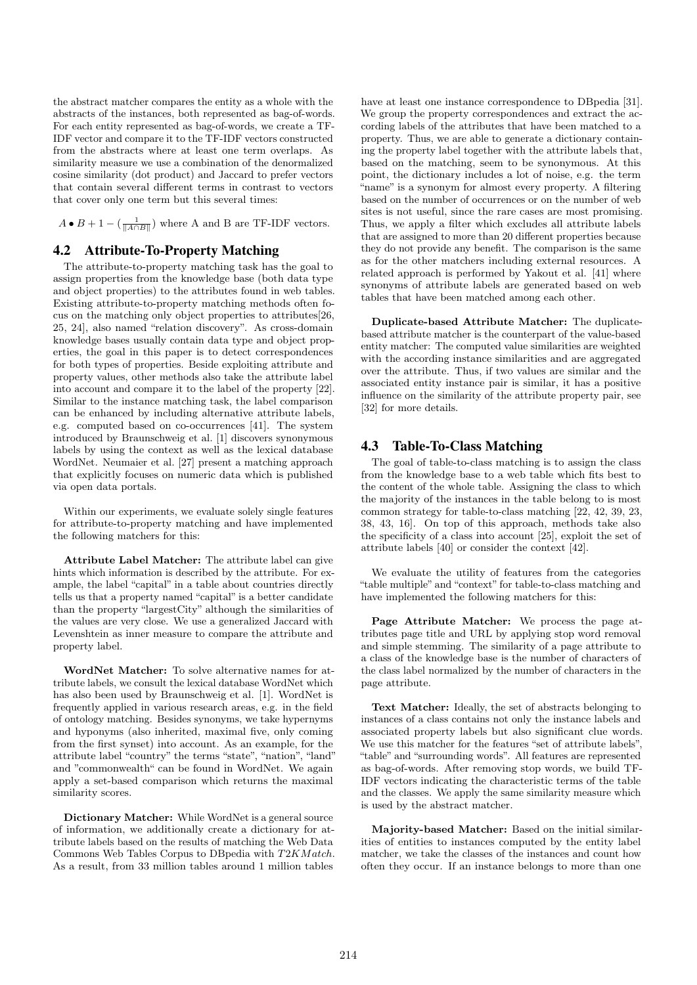the abstract matcher compares the entity as a whole with the abstracts of the instances, both represented as bag-of-words. For each entity represented as bag-of-words, we create a TF-IDF vector and compare it to the TF-IDF vectors constructed from the abstracts where at least one term overlaps. As similarity measure we use a combination of the denormalized cosine similarity (dot product) and Jaccard to prefer vectors that contain several different terms in contrast to vectors that cover only one term but this several times:

 $A \bullet B + 1 - \left(\frac{1}{\|A \cap B\|}\right)$  where A and B are TF-IDF vectors.

## 4.2 Attribute-To-Property Matching

The attribute-to-property matching task has the goal to assign properties from the knowledge base (both data type and object properties) to the attributes found in web tables. Existing attribute-to-property matching methods often focus on the matching only object properties to attributes[26, 25, 24], also named "relation discovery". As cross-domain knowledge bases usually contain data type and object properties, the goal in this paper is to detect correspondences for both types of properties. Beside exploiting attribute and property values, other methods also take the attribute label into account and compare it to the label of the property [22]. Similar to the instance matching task, the label comparison can be enhanced by including alternative attribute labels, e.g. computed based on co-occurrences [41]. The system introduced by Braunschweig et al. [1] discovers synonymous labels by using the context as well as the lexical database WordNet. Neumaier et al. [27] present a matching approach that explicitly focuses on numeric data which is published via open data portals.

Within our experiments, we evaluate solely single features for attribute-to-property matching and have implemented the following matchers for this:

Attribute Label Matcher: The attribute label can give hints which information is described by the attribute. For example, the label "capital" in a table about countries directly tells us that a property named "capital" is a better candidate than the property "largestCity" although the similarities of the values are very close. We use a generalized Jaccard with Levenshtein as inner measure to compare the attribute and property label.

WordNet Matcher: To solve alternative names for attribute labels, we consult the lexical database WordNet which has also been used by Braunschweig et al. [1]. WordNet is frequently applied in various research areas, e.g. in the field of ontology matching. Besides synonyms, we take hypernyms and hyponyms (also inherited, maximal five, only coming from the first synset) into account. As an example, for the attribute label "country" the terms "state", "nation", "land" and "commonwealth" can be found in WordNet. We again apply a set-based comparison which returns the maximal similarity scores.

Dictionary Matcher: While WordNet is a general source of information, we additionally create a dictionary for attribute labels based on the results of matching the Web Data Commons Web Tables Corpus to DBpedia with T2KM atch. As a result, from 33 million tables around 1 million tables have at least one instance correspondence to DBpedia [31]. We group the property correspondences and extract the according labels of the attributes that have been matched to a property. Thus, we are able to generate a dictionary containing the property label together with the attribute labels that, based on the matching, seem to be synonymous. At this point, the dictionary includes a lot of noise, e.g. the term "name" is a synonym for almost every property. A filtering based on the number of occurrences or on the number of web sites is not useful, since the rare cases are most promising. Thus, we apply a filter which excludes all attribute labels that are assigned to more than 20 different properties because they do not provide any benefit. The comparison is the same as for the other matchers including external resources. A related approach is performed by Yakout et al. [41] where synonyms of attribute labels are generated based on web tables that have been matched among each other.

Duplicate-based Attribute Matcher: The duplicatebased attribute matcher is the counterpart of the value-based entity matcher: The computed value similarities are weighted with the according instance similarities and are aggregated over the attribute. Thus, if two values are similar and the associated entity instance pair is similar, it has a positive influence on the similarity of the attribute property pair, see [32] for more details.

#### 4.3 Table-To-Class Matching

The goal of table-to-class matching is to assign the class from the knowledge base to a web table which fits best to the content of the whole table. Assigning the class to which the majority of the instances in the table belong to is most common strategy for table-to-class matching [22, 42, 39, 23, 38, 43, 16]. On top of this approach, methods take also the specificity of a class into account [25], exploit the set of attribute labels [40] or consider the context [42].

We evaluate the utility of features from the categories "table multiple" and "context" for table-to-class matching and have implemented the following matchers for this:

Page Attribute Matcher: We process the page attributes page title and URL by applying stop word removal and simple stemming. The similarity of a page attribute to a class of the knowledge base is the number of characters of the class label normalized by the number of characters in the page attribute.

Text Matcher: Ideally, the set of abstracts belonging to instances of a class contains not only the instance labels and associated property labels but also significant clue words. We use this matcher for the features "set of attribute labels", "table" and "surrounding words". All features are represented as bag-of-words. After removing stop words, we build TF-IDF vectors indicating the characteristic terms of the table and the classes. We apply the same similarity measure which is used by the abstract matcher.

Majority-based Matcher: Based on the initial similarities of entities to instances computed by the entity label matcher, we take the classes of the instances and count how often they occur. If an instance belongs to more than one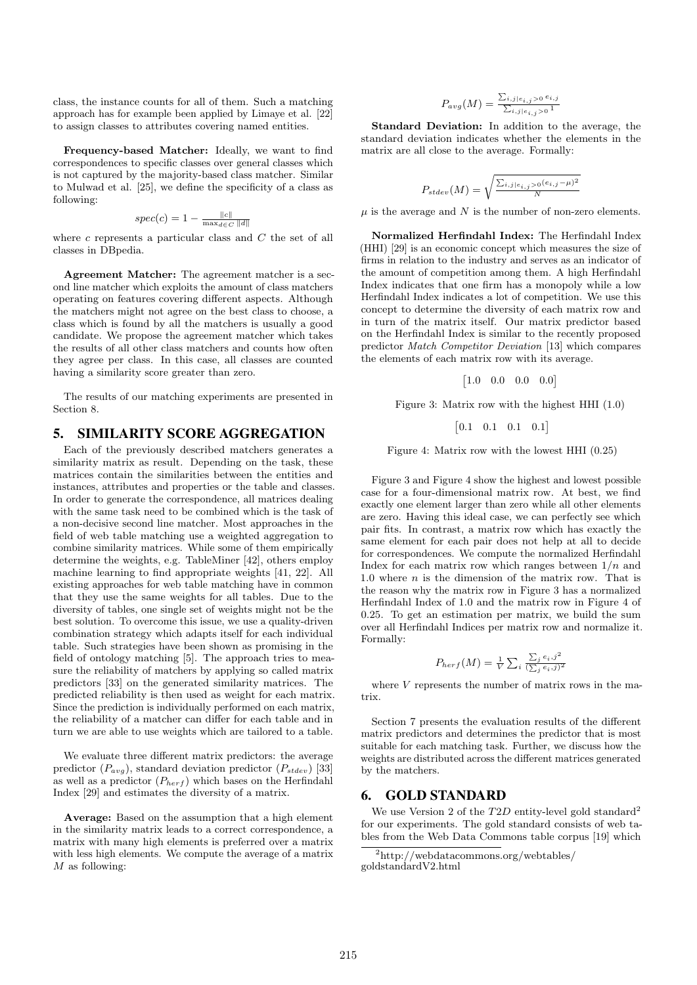class, the instance counts for all of them. Such a matching approach has for example been applied by Limaye et al. [22] to assign classes to attributes covering named entities.

Frequency-based Matcher: Ideally, we want to find correspondences to specific classes over general classes which is not captured by the majority-based class matcher. Similar to Mulwad et al. [25], we define the specificity of a class as following:

$$
spec(c) = 1 - \frac{\|c\|}{\max_{d \in C} \|d\|}
$$

where  $c$  represents a particular class and  $C$  the set of all classes in DBpedia.

Agreement Matcher: The agreement matcher is a second line matcher which exploits the amount of class matchers operating on features covering different aspects. Although the matchers might not agree on the best class to choose, a class which is found by all the matchers is usually a good candidate. We propose the agreement matcher which takes the results of all other class matchers and counts how often they agree per class. In this case, all classes are counted having a similarity score greater than zero.

The results of our matching experiments are presented in Section 8.

## 5. SIMILARITY SCORE AGGREGATION

Each of the previously described matchers generates a similarity matrix as result. Depending on the task, these matrices contain the similarities between the entities and instances, attributes and properties or the table and classes. In order to generate the correspondence, all matrices dealing with the same task need to be combined which is the task of a non-decisive second line matcher. Most approaches in the field of web table matching use a weighted aggregation to combine similarity matrices. While some of them empirically determine the weights, e.g. TableMiner [42], others employ machine learning to find appropriate weights [41, 22]. All existing approaches for web table matching have in common that they use the same weights for all tables. Due to the diversity of tables, one single set of weights might not be the best solution. To overcome this issue, we use a quality-driven combination strategy which adapts itself for each individual table. Such strategies have been shown as promising in the field of ontology matching [5]. The approach tries to measure the reliability of matchers by applying so called matrix predictors [33] on the generated similarity matrices. The predicted reliability is then used as weight for each matrix. Since the prediction is individually performed on each matrix, the reliability of a matcher can differ for each table and in turn we are able to use weights which are tailored to a table.

We evaluate three different matrix predictors: the average predictor  $(P_{avg})$ , standard deviation predictor  $(P_{stdev})$  [33] as well as a predictor  $(P_{\text{her }f})$  which bases on the Herfindahl Index [29] and estimates the diversity of a matrix.

Average: Based on the assumption that a high element in the similarity matrix leads to a correct correspondence, a matrix with many high elements is preferred over a matrix with less high elements. We compute the average of a matrix  $M$  as following:

$$
P_{avg}(M) = \frac{\sum_{i,j|e_{i,j} > 0} e_{i,j}}{\sum_{i,j|e_{i,j} > 0} 1}
$$

Standard Deviation: In addition to the average, the standard deviation indicates whether the elements in the matrix are all close to the average. Formally:

$$
P_{stdev}(M) = \sqrt{\frac{\sum_{i,j \mid e_{i,j} > 0} (e_{i,j} - \mu)^2}{N}}
$$

 $\mu$  is the average and N is the number of non-zero elements.

Normalized Herfindahl Index: The Herfindahl Index (HHI) [29] is an economic concept which measures the size of firms in relation to the industry and serves as an indicator of the amount of competition among them. A high Herfindahl Index indicates that one firm has a monopoly while a low Herfindahl Index indicates a lot of competition. We use this concept to determine the diversity of each matrix row and in turn of the matrix itself. Our matrix predictor based on the Herfindahl Index is similar to the recently proposed predictor Match Competitor Deviation [13] which compares the elements of each matrix row with its average.

$$
\begin{bmatrix} 1.0 & 0.0 & 0.0 & 0.0 \end{bmatrix}
$$

Figure 3: Matrix row with the highest HHI (1.0)

$$
\begin{bmatrix} 0.1 & 0.1 & 0.1 & 0.1 \end{bmatrix}
$$

Figure 4: Matrix row with the lowest HHI (0.25)

Figure 3 and Figure 4 show the highest and lowest possible case for a four-dimensional matrix row. At best, we find exactly one element larger than zero while all other elements are zero. Having this ideal case, we can perfectly see which pair fits. In contrast, a matrix row which has exactly the same element for each pair does not help at all to decide for correspondences. We compute the normalized Herfindahl Index for each matrix row which ranges between  $1/n$  and 1.0 where  $n$  is the dimension of the matrix row. That is the reason why the matrix row in Figure 3 has a normalized Herfindahl Index of 1.0 and the matrix row in Figure 4 of 0.25. To get an estimation per matrix, we build the sum over all Herfindahl Indices per matrix row and normalize it. Formally:

$$
P_{hert}(M) = \frac{1}{V} \sum_{i} \frac{\sum_{j} e_i, j^2}{(\sum_{j} e_i, j)^2}
$$

where  $V$  represents the number of matrix rows in the matrix.

Section 7 presents the evaluation results of the different matrix predictors and determines the predictor that is most suitable for each matching task. Further, we discuss how the weights are distributed across the different matrices generated by the matchers.

#### 6. GOLD STANDARD

We use Version 2 of the  $T2D$  entity-level gold standard<sup>2</sup> for our experiments. The gold standard consists of web tables from the Web Data Commons table corpus [19] which

<sup>2</sup>http://webdatacommons.org/webtables/ goldstandardV2.html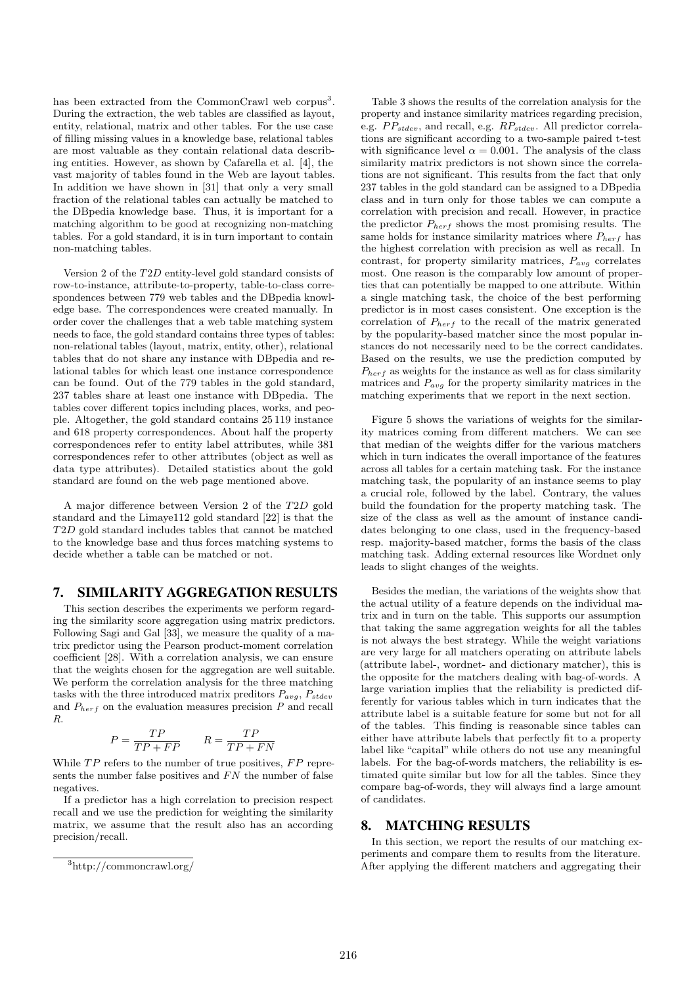has been extracted from the CommonCrawl web corpus<sup>3</sup>. During the extraction, the web tables are classified as layout, entity, relational, matrix and other tables. For the use case of filling missing values in a knowledge base, relational tables are most valuable as they contain relational data describing entities. However, as shown by Cafarella et al. [4], the vast majority of tables found in the Web are layout tables. In addition we have shown in [31] that only a very small fraction of the relational tables can actually be matched to the DBpedia knowledge base. Thus, it is important for a matching algorithm to be good at recognizing non-matching tables. For a gold standard, it is in turn important to contain non-matching tables.

Version 2 of the T2D entity-level gold standard consists of row-to-instance, attribute-to-property, table-to-class correspondences between 779 web tables and the DBpedia knowledge base. The correspondences were created manually. In order cover the challenges that a web table matching system needs to face, the gold standard contains three types of tables: non-relational tables (layout, matrix, entity, other), relational tables that do not share any instance with DBpedia and relational tables for which least one instance correspondence can be found. Out of the 779 tables in the gold standard, 237 tables share at least one instance with DBpedia. The tables cover different topics including places, works, and people. Altogether, the gold standard contains 25 119 instance and 618 property correspondences. About half the property correspondences refer to entity label attributes, while 381 correspondences refer to other attributes (object as well as data type attributes). Detailed statistics about the gold standard are found on the web page mentioned above.

A major difference between Version 2 of the T2D gold standard and the Limaye112 gold standard [22] is that the T2D gold standard includes tables that cannot be matched to the knowledge base and thus forces matching systems to decide whether a table can be matched or not.

## 7. SIMILARITY AGGREGATION RESULTS

This section describes the experiments we perform regarding the similarity score aggregation using matrix predictors. Following Sagi and Gal [33], we measure the quality of a matrix predictor using the Pearson product-moment correlation coefficient [28]. With a correlation analysis, we can ensure that the weights chosen for the aggregation are well suitable. We perform the correlation analysis for the three matching tasks with the three introduced matrix preditors  $P_{avg}$ ,  $P_{stdev}$ and  $P_{herf}$  on the evaluation measures precision  $P$  and recall R.

$$
P = \frac{TP}{TP + FP} \qquad R = \frac{TP}{TP + FN}
$$

While  $TP$  refers to the number of true positives,  $FP$  represents the number false positives and  $FN$  the number of false negatives.

If a predictor has a high correlation to precision respect recall and we use the prediction for weighting the similarity matrix, we assume that the result also has an according precision/recall.

Table 3 shows the results of the correlation analysis for the property and instance similarity matrices regarding precision, e.g.  $PP_{stdev}$ , and recall, e.g.  $RP_{stdev}$ . All predictor correlations are significant according to a two-sample paired t-test with significance level  $\alpha = 0.001$ . The analysis of the class similarity matrix predictors is not shown since the correlations are not significant. This results from the fact that only 237 tables in the gold standard can be assigned to a DBpedia class and in turn only for those tables we can compute a correlation with precision and recall. However, in practice the predictor  $P_{herf}$  shows the most promising results. The same holds for instance similarity matrices where  $P_{\text{herf}}$  has the highest correlation with precision as well as recall. In contrast, for property similarity matrices,  $P_{avg}$  correlates most. One reason is the comparably low amount of properties that can potentially be mapped to one attribute. Within a single matching task, the choice of the best performing predictor is in most cases consistent. One exception is the correlation of  $P_{\text{herf}}$  to the recall of the matrix generated by the popularity-based matcher since the most popular instances do not necessarily need to be the correct candidates. Based on the results, we use the prediction computed by  $P_{\text{herf}}$  as weights for the instance as well as for class similarity matrices and  $P_{avg}$  for the property similarity matrices in the matching experiments that we report in the next section.

Figure 5 shows the variations of weights for the similarity matrices coming from different matchers. We can see that median of the weights differ for the various matchers which in turn indicates the overall importance of the features across all tables for a certain matching task. For the instance matching task, the popularity of an instance seems to play a crucial role, followed by the label. Contrary, the values build the foundation for the property matching task. The size of the class as well as the amount of instance candidates belonging to one class, used in the frequency-based resp. majority-based matcher, forms the basis of the class matching task. Adding external resources like Wordnet only leads to slight changes of the weights.

Besides the median, the variations of the weights show that the actual utility of a feature depends on the individual matrix and in turn on the table. This supports our assumption that taking the same aggregation weights for all the tables is not always the best strategy. While the weight variations are very large for all matchers operating on attribute labels (attribute label-, wordnet- and dictionary matcher), this is the opposite for the matchers dealing with bag-of-words. A large variation implies that the reliability is predicted differently for various tables which in turn indicates that the attribute label is a suitable feature for some but not for all of the tables. This finding is reasonable since tables can either have attribute labels that perfectly fit to a property label like "capital" while others do not use any meaningful labels. For the bag-of-words matchers, the reliability is estimated quite similar but low for all the tables. Since they compare bag-of-words, they will always find a large amount of candidates.

## 8. MATCHING RESULTS

In this section, we report the results of our matching experiments and compare them to results from the literature. After applying the different matchers and aggregating their

<sup>3</sup>http://commoncrawl.org/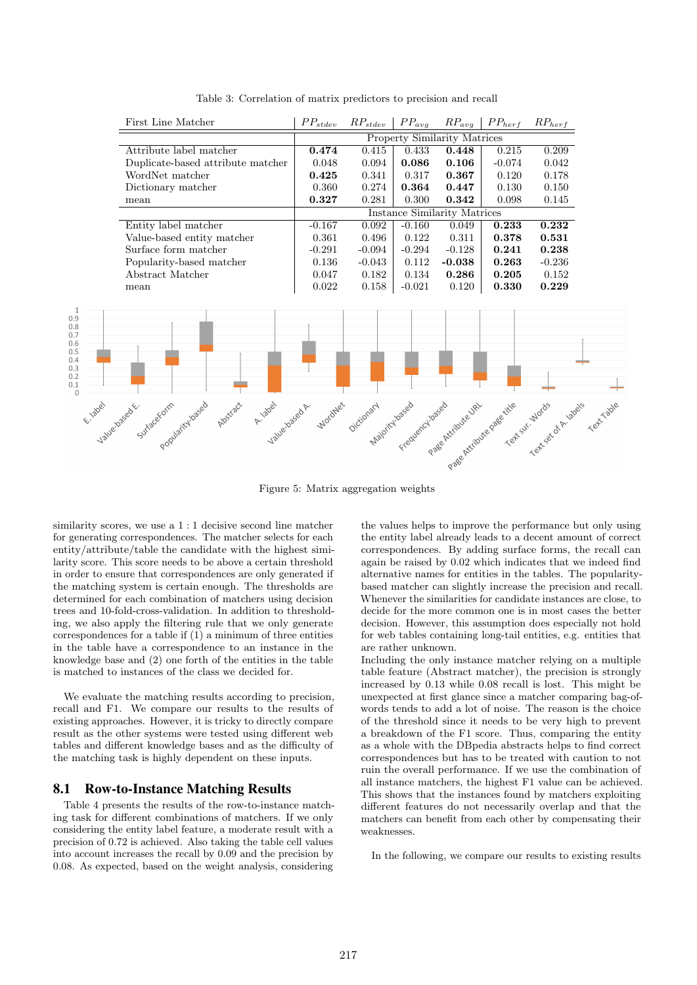

Table 3: Correlation of matrix predictors to precision and recall

Figure 5: Matrix aggregation weights

similarity scores, we use a  $1:1$  decisive second line matcher for generating correspondences. The matcher selects for each entity/attribute/table the candidate with the highest similarity score. This score needs to be above a certain threshold in order to ensure that correspondences are only generated if the matching system is certain enough. The thresholds are determined for each combination of matchers using decision trees and 10-fold-cross-validation. In addition to thresholding, we also apply the filtering rule that we only generate correspondences for a table if (1) a minimum of three entities in the table have a correspondence to an instance in the knowledge base and (2) one forth of the entities in the table is matched to instances of the class we decided for.

We evaluate the matching results according to precision, recall and F1. We compare our results to the results of existing approaches. However, it is tricky to directly compare result as the other systems were tested using different web tables and different knowledge bases and as the difficulty of the matching task is highly dependent on these inputs.

## 8.1 Row-to-Instance Matching Results

Table 4 presents the results of the row-to-instance matching task for different combinations of matchers. If we only considering the entity label feature, a moderate result with a precision of 0.72 is achieved. Also taking the table cell values into account increases the recall by 0.09 and the precision by 0.08. As expected, based on the weight analysis, considering the values helps to improve the performance but only using the entity label already leads to a decent amount of correct correspondences. By adding surface forms, the recall can again be raised by 0.02 which indicates that we indeed find alternative names for entities in the tables. The popularitybased matcher can slightly increase the precision and recall. Whenever the similarities for candidate instances are close, to decide for the more common one is in most cases the better decision. However, this assumption does especially not hold for web tables containing long-tail entities, e.g. entities that are rather unknown.

Including the only instance matcher relying on a multiple table feature (Abstract matcher), the precision is strongly increased by 0.13 while 0.08 recall is lost. This might be unexpected at first glance since a matcher comparing bag-ofwords tends to add a lot of noise. The reason is the choice of the threshold since it needs to be very high to prevent a breakdown of the F1 score. Thus, comparing the entity as a whole with the DBpedia abstracts helps to find correct correspondences but has to be treated with caution to not ruin the overall performance. If we use the combination of all instance matchers, the highest F1 value can be achieved. This shows that the instances found by matchers exploiting different features do not necessarily overlap and that the matchers can benefit from each other by compensating their weaknesses.

In the following, we compare our results to existing results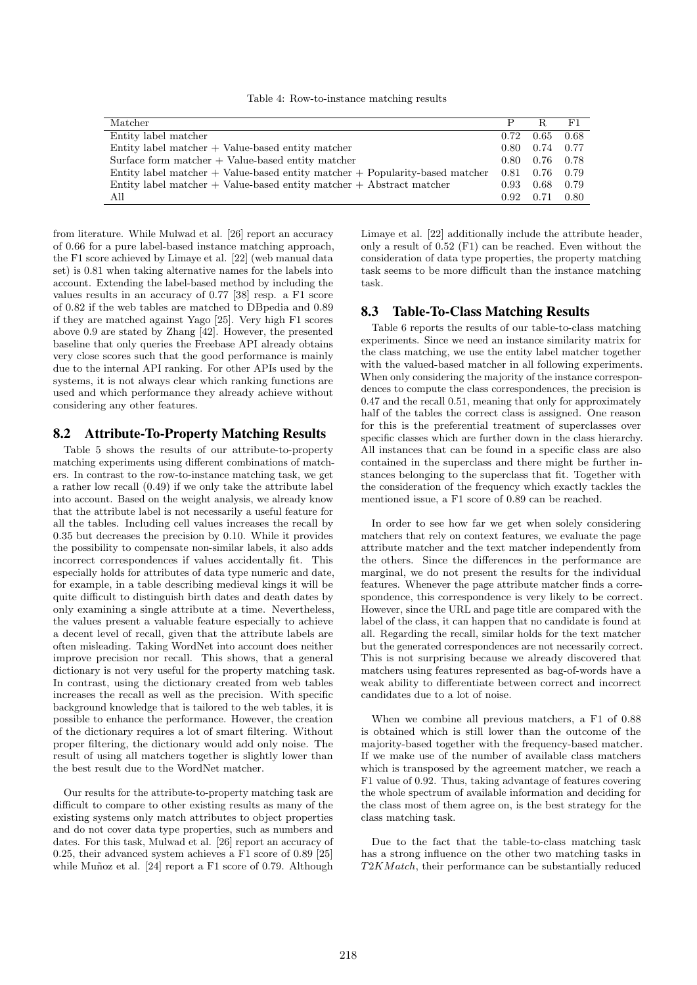Table 4: Row-to-instance matching results

| Matcher                                                                          | P                 | R                 | F1   |
|----------------------------------------------------------------------------------|-------------------|-------------------|------|
| Entity label matcher                                                             | 0.72              | 0.65              | 0.68 |
| $Entity$ label matcher $+$ Value-based entity matcher                            |                   | $0.80 \quad 0.74$ | 0.77 |
| Surface form matcher $+$ Value-based entity matcher                              |                   | $0.80 \quad 0.76$ | 0.78 |
| Entity label matcher $+$ Value-based entity matcher $+$ Popularity-based matcher | $0.81 \quad 0.76$ |                   | 0.79 |
| Entity label matcher $+$ Value-based entity matcher $+$ Abstract matcher         | $0.93 \quad 0.68$ |                   | 0.79 |
| All                                                                              | 0.92              | 0.71              | 0.80 |

from literature. While Mulwad et al. [26] report an accuracy of 0.66 for a pure label-based instance matching approach, the F1 score achieved by Limaye et al. [22] (web manual data set) is 0.81 when taking alternative names for the labels into account. Extending the label-based method by including the values results in an accuracy of 0.77 [38] resp. a F1 score of 0.82 if the web tables are matched to DBpedia and 0.89 if they are matched against Yago [25]. Very high F1 scores above 0.9 are stated by Zhang [42]. However, the presented baseline that only queries the Freebase API already obtains very close scores such that the good performance is mainly due to the internal API ranking. For other APIs used by the systems, it is not always clear which ranking functions are used and which performance they already achieve without considering any other features.

## 8.2 Attribute-To-Property Matching Results

Table 5 shows the results of our attribute-to-property matching experiments using different combinations of matchers. In contrast to the row-to-instance matching task, we get a rather low recall (0.49) if we only take the attribute label into account. Based on the weight analysis, we already know that the attribute label is not necessarily a useful feature for all the tables. Including cell values increases the recall by 0.35 but decreases the precision by 0.10. While it provides the possibility to compensate non-similar labels, it also adds incorrect correspondences if values accidentally fit. This especially holds for attributes of data type numeric and date, for example, in a table describing medieval kings it will be quite difficult to distinguish birth dates and death dates by only examining a single attribute at a time. Nevertheless, the values present a valuable feature especially to achieve a decent level of recall, given that the attribute labels are often misleading. Taking WordNet into account does neither improve precision nor recall. This shows, that a general dictionary is not very useful for the property matching task. In contrast, using the dictionary created from web tables increases the recall as well as the precision. With specific background knowledge that is tailored to the web tables, it is possible to enhance the performance. However, the creation of the dictionary requires a lot of smart filtering. Without proper filtering, the dictionary would add only noise. The result of using all matchers together is slightly lower than the best result due to the WordNet matcher.

Our results for the attribute-to-property matching task are difficult to compare to other existing results as many of the existing systems only match attributes to object properties and do not cover data type properties, such as numbers and dates. For this task, Mulwad et al. [26] report an accuracy of 0.25, their advanced system achieves a F1 score of 0.89 [25] while Muñoz et al. [24] report a F1 score of 0.79. Although

Limaye et al. [22] additionally include the attribute header, only a result of 0.52 (F1) can be reached. Even without the consideration of data type properties, the property matching task seems to be more difficult than the instance matching task.

#### 8.3 Table-To-Class Matching Results

Table 6 reports the results of our table-to-class matching experiments. Since we need an instance similarity matrix for the class matching, we use the entity label matcher together with the valued-based matcher in all following experiments. When only considering the majority of the instance correspondences to compute the class correspondences, the precision is 0.47 and the recall 0.51, meaning that only for approximately half of the tables the correct class is assigned. One reason for this is the preferential treatment of superclasses over specific classes which are further down in the class hierarchy. All instances that can be found in a specific class are also contained in the superclass and there might be further instances belonging to the superclass that fit. Together with the consideration of the frequency which exactly tackles the mentioned issue, a F1 score of 0.89 can be reached.

In order to see how far we get when solely considering matchers that rely on context features, we evaluate the page attribute matcher and the text matcher independently from the others. Since the differences in the performance are marginal, we do not present the results for the individual features. Whenever the page attribute matcher finds a correspondence, this correspondence is very likely to be correct. However, since the URL and page title are compared with the label of the class, it can happen that no candidate is found at all. Regarding the recall, similar holds for the text matcher but the generated correspondences are not necessarily correct. This is not surprising because we already discovered that matchers using features represented as bag-of-words have a weak ability to differentiate between correct and incorrect candidates due to a lot of noise.

When we combine all previous matchers, a F1 of 0.88 is obtained which is still lower than the outcome of the majority-based together with the frequency-based matcher. If we make use of the number of available class matchers which is transposed by the agreement matcher, we reach a F1 value of 0.92. Thus, taking advantage of features covering the whole spectrum of available information and deciding for the class most of them agree on, is the best strategy for the class matching task.

Due to the fact that the table-to-class matching task has a strong influence on the other two matching tasks in T2K Match, their performance can be substantially reduced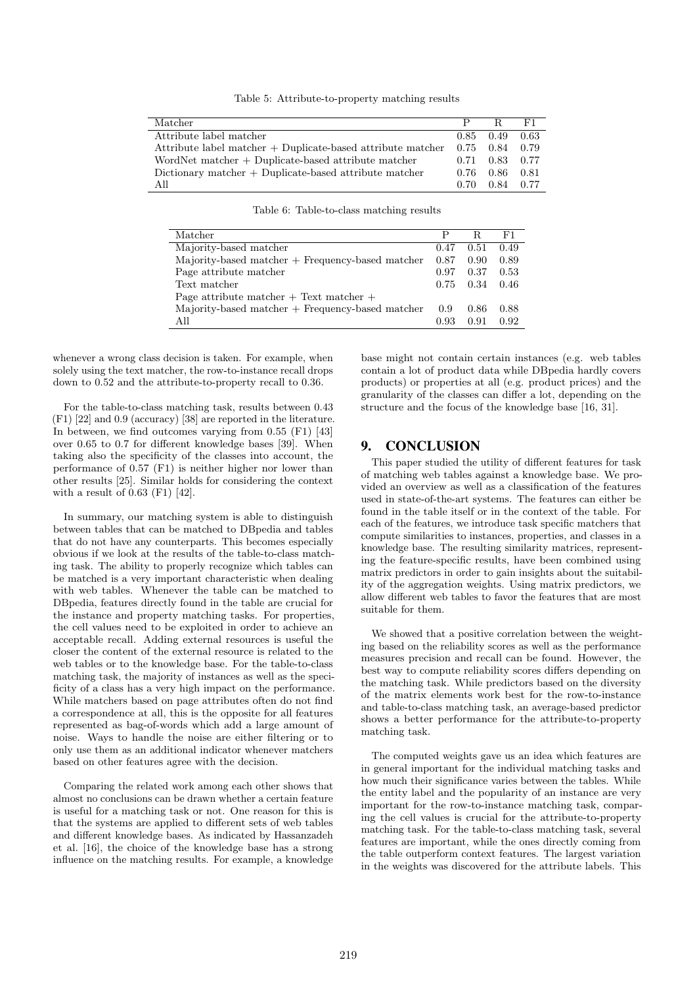Table 5: Attribute-to-property matching results

| Matcher                                                       | P    | R                 | F1   |
|---------------------------------------------------------------|------|-------------------|------|
| Attribute label matcher                                       |      | $0.85 \quad 0.49$ | 0.63 |
| Attribute label matcher $+$ Duplicate-based attribute matcher |      | 0.75<br>0.84      | 0.79 |
| WordNet matcher $+$ Duplicate-based attribute matcher         |      | 0.71 0.83 0.77    |      |
| Dictionary matcher $+$ Duplicate-based attribute matcher      |      | 0.86              | 0.81 |
| All                                                           | 0.70 | 0.84              | 0.77 |

Table 6: Table-to-class matching results

| Matcher                                                        |      |      | F1   |
|----------------------------------------------------------------|------|------|------|
| Majority-based matcher                                         |      | 0.51 | 0.49 |
| Majority-based matcher + Frequency-based matcher               |      | 0.90 | 0.89 |
| Page attribute matcher                                         |      | 0.37 | 0.53 |
| Text matcher                                                   |      | 0.34 | 0.46 |
| Page attribute matcher $+$ Text matcher $+$                    |      |      |      |
| $\text{Majority-based matter} + \text{Frequency-based matter}$ |      | 0.86 | 0.88 |
| All                                                            | 0.93 | 0.91 | 0.92 |

whenever a wrong class decision is taken. For example, when solely using the text matcher, the row-to-instance recall drops down to 0.52 and the attribute-to-property recall to 0.36.

For the table-to-class matching task, results between 0.43 (F1) [22] and 0.9 (accuracy) [38] are reported in the literature. In between, we find outcomes varying from 0.55 (F1) [43] over 0.65 to 0.7 for different knowledge bases [39]. When taking also the specificity of the classes into account, the performance of 0.57 (F1) is neither higher nor lower than other results [25]. Similar holds for considering the context with a result of 0.63 (F1) [42].

In summary, our matching system is able to distinguish between tables that can be matched to DBpedia and tables that do not have any counterparts. This becomes especially obvious if we look at the results of the table-to-class matching task. The ability to properly recognize which tables can be matched is a very important characteristic when dealing with web tables. Whenever the table can be matched to DBpedia, features directly found in the table are crucial for the instance and property matching tasks. For properties, the cell values need to be exploited in order to achieve an acceptable recall. Adding external resources is useful the closer the content of the external resource is related to the web tables or to the knowledge base. For the table-to-class matching task, the majority of instances as well as the specificity of a class has a very high impact on the performance. While matchers based on page attributes often do not find a correspondence at all, this is the opposite for all features represented as bag-of-words which add a large amount of noise. Ways to handle the noise are either filtering or to only use them as an additional indicator whenever matchers based on other features agree with the decision.

Comparing the related work among each other shows that almost no conclusions can be drawn whether a certain feature is useful for a matching task or not. One reason for this is that the systems are applied to different sets of web tables and different knowledge bases. As indicated by Hassanzadeh et al. [16], the choice of the knowledge base has a strong influence on the matching results. For example, a knowledge

base might not contain certain instances (e.g. web tables contain a lot of product data while DBpedia hardly covers products) or properties at all (e.g. product prices) and the granularity of the classes can differ a lot, depending on the structure and the focus of the knowledge base [16, 31].

#### 9. CONCLUSION

This paper studied the utility of different features for task of matching web tables against a knowledge base. We provided an overview as well as a classification of the features used in state-of-the-art systems. The features can either be found in the table itself or in the context of the table. For each of the features, we introduce task specific matchers that compute similarities to instances, properties, and classes in a knowledge base. The resulting similarity matrices, representing the feature-specific results, have been combined using matrix predictors in order to gain insights about the suitability of the aggregation weights. Using matrix predictors, we allow different web tables to favor the features that are most suitable for them.

We showed that a positive correlation between the weighting based on the reliability scores as well as the performance measures precision and recall can be found. However, the best way to compute reliability scores differs depending on the matching task. While predictors based on the diversity of the matrix elements work best for the row-to-instance and table-to-class matching task, an average-based predictor shows a better performance for the attribute-to-property matching task.

The computed weights gave us an idea which features are in general important for the individual matching tasks and how much their significance varies between the tables. While the entity label and the popularity of an instance are very important for the row-to-instance matching task, comparing the cell values is crucial for the attribute-to-property matching task. For the table-to-class matching task, several features are important, while the ones directly coming from the table outperform context features. The largest variation in the weights was discovered for the attribute labels. This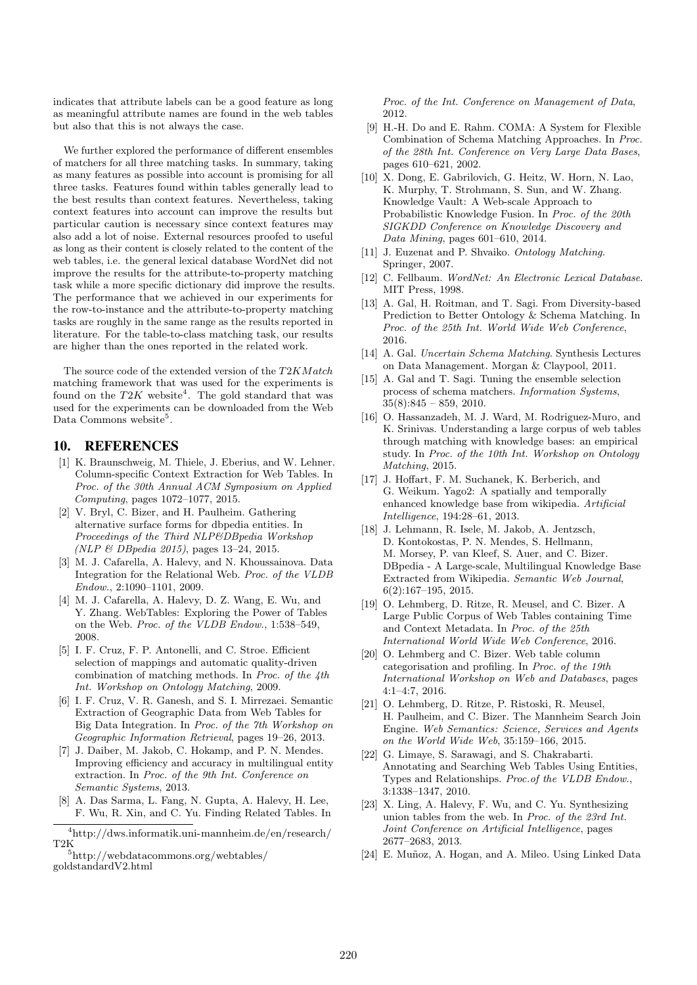indicates that attribute labels can be a good feature as long as meaningful attribute names are found in the web tables but also that this is not always the case.

We further explored the performance of different ensembles of matchers for all three matching tasks. In summary, taking as many features as possible into account is promising for all three tasks. Features found within tables generally lead to the best results than context features. Nevertheless, taking context features into account can improve the results but particular caution is necessary since context features may also add a lot of noise. External resources proofed to useful as long as their content is closely related to the content of the web tables, i.e. the general lexical database WordNet did not improve the results for the attribute-to-property matching task while a more specific dictionary did improve the results. The performance that we achieved in our experiments for the row-to-instance and the attribute-to-property matching tasks are roughly in the same range as the results reported in literature. For the table-to-class matching task, our results are higher than the ones reported in the related work.

The source code of the extended version of the  $T2KMatch$ matching framework that was used for the experiments is found on the  $T2K$  website<sup>4</sup>. The gold standard that was used for the experiments can be downloaded from the Web Data Commons website<sup>5</sup>.

## 10. REFERENCES

- [1] K. Braunschweig, M. Thiele, J. Eberius, and W. Lehner. Column-specific Context Extraction for Web Tables. In Proc. of the 30th Annual ACM Symposium on Applied Computing, pages 1072–1077, 2015.
- [2] V. Bryl, C. Bizer, and H. Paulheim. Gathering alternative surface forms for dbpedia entities. In Proceedings of the Third NLP&DBpedia Workshop (NLP & DBpedia 2015), pages 13–24, 2015.
- [3] M. J. Cafarella, A. Halevy, and N. Khoussainova. Data Integration for the Relational Web. Proc. of the VLDB Endow., 2:1090–1101, 2009.
- [4] M. J. Cafarella, A. Halevy, D. Z. Wang, E. Wu, and Y. Zhang. WebTables: Exploring the Power of Tables on the Web. Proc. of the VLDB Endow., 1:538–549, 2008.
- [5] I. F. Cruz, F. P. Antonelli, and C. Stroe. Efficient selection of mappings and automatic quality-driven combination of matching methods. In Proc. of the 4th Int. Workshop on Ontology Matching, 2009.
- [6] I. F. Cruz, V. R. Ganesh, and S. I. Mirrezaei. Semantic Extraction of Geographic Data from Web Tables for Big Data Integration. In Proc. of the 7th Workshop on Geographic Information Retrieval, pages 19–26, 2013.
- [7] J. Daiber, M. Jakob, C. Hokamp, and P. N. Mendes. Improving efficiency and accuracy in multilingual entity extraction. In Proc. of the 9th Int. Conference on Semantic Systems, 2013.
- [8] A. Das Sarma, L. Fang, N. Gupta, A. Halevy, H. Lee, F. Wu, R. Xin, and C. Yu. Finding Related Tables. In

Proc. of the Int. Conference on Management of Data, 2012.

- [9] H.-H. Do and E. Rahm. COMA: A System for Flexible Combination of Schema Matching Approaches. In Proc. of the 28th Int. Conference on Very Large Data Bases, pages 610–621, 2002.
- [10] X. Dong, E. Gabrilovich, G. Heitz, W. Horn, N. Lao, K. Murphy, T. Strohmann, S. Sun, and W. Zhang. Knowledge Vault: A Web-scale Approach to Probabilistic Knowledge Fusion. In Proc. of the 20th SIGKDD Conference on Knowledge Discovery and Data Mining, pages 601–610, 2014.
- [11] J. Euzenat and P. Shvaiko. Ontology Matching. Springer, 2007.
- [12] C. Fellbaum. WordNet: An Electronic Lexical Database. MIT Press, 1998.
- [13] A. Gal, H. Roitman, and T. Sagi. From Diversity-based Prediction to Better Ontology & Schema Matching. In Proc. of the 25th Int. World Wide Web Conference, 2016.
- [14] A. Gal. Uncertain Schema Matching. Synthesis Lectures on Data Management. Morgan & Claypool, 2011.
- [15] A. Gal and T. Sagi. Tuning the ensemble selection process of schema matchers. Information Systems,  $35(8):845 - 859, 2010.$
- [16] O. Hassanzadeh, M. J. Ward, M. Rodriguez-Muro, and K. Srinivas. Understanding a large corpus of web tables through matching with knowledge bases: an empirical study. In Proc. of the 10th Int. Workshop on Ontology Matching, 2015.
- [17] J. Hoffart, F. M. Suchanek, K. Berberich, and G. Weikum. Yago2: A spatially and temporally enhanced knowledge base from wikipedia. Artificial Intelligence, 194:28–61, 2013.
- [18] J. Lehmann, R. Isele, M. Jakob, A. Jentzsch, D. Kontokostas, P. N. Mendes, S. Hellmann, M. Morsey, P. van Kleef, S. Auer, and C. Bizer. DBpedia - A Large-scale, Multilingual Knowledge Base Extracted from Wikipedia. Semantic Web Journal, 6(2):167–195, 2015.
- [19] O. Lehmberg, D. Ritze, R. Meusel, and C. Bizer. A Large Public Corpus of Web Tables containing Time and Context Metadata. In Proc. of the 25th International World Wide Web Conference, 2016.
- [20] O. Lehmberg and C. Bizer. Web table column categorisation and profiling. In Proc. of the 19th International Workshop on Web and Databases, pages 4:1–4:7, 2016.
- [21] O. Lehmberg, D. Ritze, P. Ristoski, R. Meusel, H. Paulheim, and C. Bizer. The Mannheim Search Join Engine. Web Semantics: Science, Services and Agents on the World Wide Web, 35:159–166, 2015.
- [22] G. Limaye, S. Sarawagi, and S. Chakrabarti. Annotating and Searching Web Tables Using Entities, Types and Relationships. Proc.of the VLDB Endow., 3:1338–1347, 2010.
- [23] X. Ling, A. Halevy, F. Wu, and C. Yu. Synthesizing union tables from the web. In Proc. of the 23rd Int. Joint Conference on Artificial Intelligence, pages 2677–2683, 2013.
- [24] E. Muñoz, A. Hogan, and A. Mileo. Using Linked Data

 $4$ http://dws.informatik.uni-mannheim.de/en/research/ T2K

<sup>5</sup>http://webdatacommons.org/webtables/ goldstandardV2.html